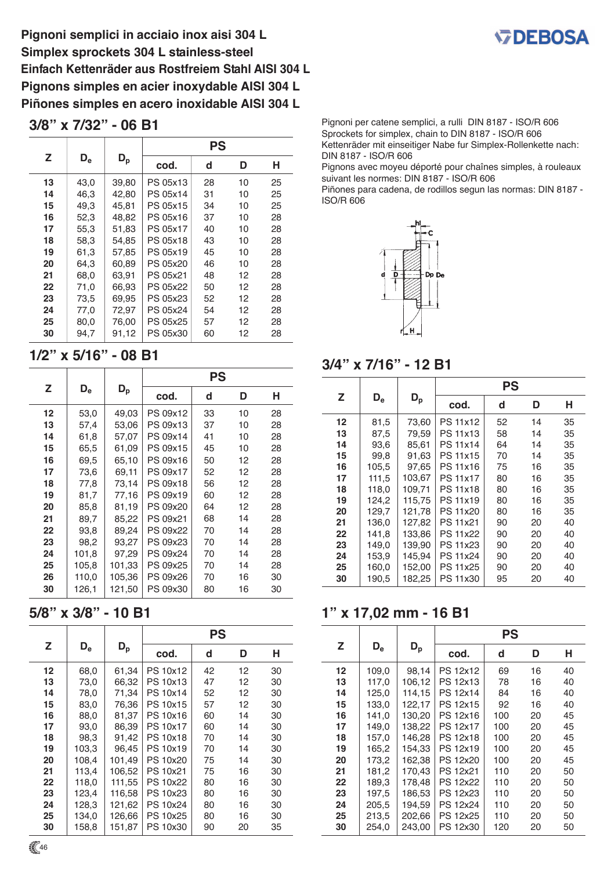**Pignoni semplici in acciaio inox aisi 304 L Simplex sprockets 304 L stainless-steel Einfach Kettenräder aus Rostfreiem Stahl AISI 304 L Pignons simples en acier inoxydable AISI 304 L Piñones simples en acero inoxidable AISI 304 L**

### **3/8" x 7/32" - 06 B1**

|    | $D_{\rm e}$ | $\mathsf{D}_{\mathsf{p}}$ | <b>PS</b> |    |    |    |
|----|-------------|---------------------------|-----------|----|----|----|
| Z  |             |                           | cod.      | d  | D  | н  |
| 13 | 43,0        | 39,80                     | PS 05x13  | 28 | 10 | 25 |
| 14 | 46,3        | 42,80                     | PS 05x14  | 31 | 10 | 25 |
| 15 | 49,3        | 45,81                     | PS 05x15  | 34 | 10 | 25 |
| 16 | 52,3        | 48,82                     | PS 05x16  | 37 | 10 | 28 |
| 17 | 55,3        | 51,83                     | PS 05x17  | 40 | 10 | 28 |
| 18 | 58,3        | 54,85                     | PS 05x18  | 43 | 10 | 28 |
| 19 | 61,3        | 57,85                     | PS 05x19  | 45 | 10 | 28 |
| 20 | 64,3        | 60.89                     | PS 05x20  | 46 | 10 | 28 |
| 21 | 68,0        | 63.91                     | PS 05x21  | 48 | 12 | 28 |
| 22 | 71,0        | 66,93                     | PS 05x22  | 50 | 12 | 28 |
| 23 | 73,5        | 69,95                     | PS 05x23  | 52 | 12 | 28 |
| 24 | 77,0        | 72,97                     | PS 05x24  | 54 | 12 | 28 |
| 25 | 80,0        | 76,00                     | PS 05x25  | 57 | 12 | 28 |
| 30 | 94,7        | 91,12                     | PS 05x30  | 60 | 12 | 28 |

## **1/2" x 5/16" - 08 B1**

|    | $D_{\rm e}$ | $D_{\rm p}$ | PS       |    |    |    |
|----|-------------|-------------|----------|----|----|----|
| Z  |             |             | cod.     | d  | D  | н  |
| 12 | 53,0        | 49,03       | PS 09x12 | 33 | 10 | 28 |
| 13 | 57,4        | 53,06       | PS 09x13 | 37 | 10 | 28 |
| 14 | 61,8        | 57,07       | PS 09x14 | 41 | 10 | 28 |
| 15 | 65,5        | 61,09       | PS 09x15 | 45 | 10 | 28 |
| 16 | 69,5        | 65,10       | PS 09x16 | 50 | 12 | 28 |
| 17 | 73,6        | 69.11       | PS 09x17 | 52 | 12 | 28 |
| 18 | 77,8        | 73,14       | PS 09x18 | 56 | 12 | 28 |
| 19 | 81,7        | 77,16       | PS 09x19 | 60 | 12 | 28 |
| 20 | 85,8        | 81,19       | PS 09x20 | 64 | 12 | 28 |
| 21 | 89,7        | 85,22       | PS 09x21 | 68 | 14 | 28 |
| 22 | 93,8        | 89,24       | PS 09x22 | 70 | 14 | 28 |
| 23 | 98,2        | 93,27       | PS 09x23 | 70 | 14 | 28 |
| 24 | 101,8       | 97,29       | PS 09x24 | 70 | 14 | 28 |
| 25 | 105,8       | 101,33      | PS 09x25 | 70 | 14 | 28 |
| 26 | 110,0       | 105,36      | PS 09x26 | 70 | 16 | 30 |
| 30 | 126,1       | 121,50      | PS 09x30 | 80 | 16 | 30 |

# **5/8" x 3/8" - 10 B1**

|         | $\mathsf{D}_{\mathsf{e}}$ | $D_p$  | <b>PS</b> |    |    |    |
|---------|---------------------------|--------|-----------|----|----|----|
| Z       |                           |        | cod.      | d  | D  | н  |
| $12 \,$ | 68,0                      | 61,34  | PS 10x12  | 42 | 12 | 30 |
| 13      | 73,0                      | 66,32  | PS 10x13  | 47 | 12 | 30 |
| 14      | 78,0                      | 71,34  | PS 10x14  | 52 | 12 | 30 |
| 15      | 83,0                      | 76,36  | PS 10x15  | 57 | 12 | 30 |
| 16      | 88,0                      | 81,37  | PS 10x16  | 60 | 14 | 30 |
| 17      | 93,0                      | 86,39  | PS 10x17  | 60 | 14 | 30 |
| 18      | 98,3                      | 91,42  | PS 10x18  | 70 | 14 | 30 |
| 19      | 103,3                     | 96,45  | PS 10x19  | 70 | 14 | 30 |
| 20      | 108,4                     | 101,49 | PS 10x20  | 75 | 14 | 30 |
| 21      | 113,4                     | 106,52 | PS 10x21  | 75 | 16 | 30 |
| 22      | 118,0                     | 111,55 | PS 10x22  | 80 | 16 | 30 |
| 23      | 123,4                     | 116,58 | PS 10x23  | 80 | 16 | 30 |
| 24      | 128,3                     | 121,62 | PS 10x24  | 80 | 16 | 30 |
| 25      | 134,0                     | 126,66 | PS 10x25  | 80 | 16 | 30 |
| 30      | 158,8                     | 151,87 | PS 10x30  | 90 | 20 | 35 |



Pignoni per catene semplici, a rulli DIN 8187 - ISO/R 606 Sprockets for simplex, chain to DIN 8187 - ISO/R 606 Kettenräder mit einseitiger Nabe fur Simplex-Rollenkette nach: DIN 8187 - ISO/R 606

Pignons avec moyeu déporté pour chaînes simples, à rouleaux suivant les normes: DIN 8187 - ISO/R 606

Piñones para cadena, de rodillos segun las normas: DIN 8187 - ISO/R 606



### **3/4" x 7/16" - 12 B1**

|    | $D_{\rm e}$ | $D_{\rm p}$ | <b>PS</b>       |    |    |    |
|----|-------------|-------------|-----------------|----|----|----|
| Z  |             |             | cod.            | d  | D  | н  |
| 12 | 81,5        | 73,60       | PS 11x12        | 52 | 14 | 35 |
| 13 | 87,5        | 79,59       | PS 11x13        | 58 | 14 | 35 |
| 14 | 93,6        | 85,61       | <b>PS 11x14</b> | 64 | 14 | 35 |
| 15 | 99,8        | 91,63       | <b>PS 11x15</b> | 70 | 14 | 35 |
| 16 | 105,5       | 97,65       | <b>PS 11x16</b> | 75 | 16 | 35 |
| 17 | 111,5       | 103,67      | PS 11x17        | 80 | 16 | 35 |
| 18 | 118,0       | 109.71      | <b>PS 11x18</b> | 80 | 16 | 35 |
| 19 | 124,2       | 115,75      | PS 11x19        | 80 | 16 | 35 |
| 20 | 129,7       | 121,78      | PS 11x20        | 80 | 16 | 35 |
| 21 | 136,0       | 127,82      | PS 11x21        | 90 | 20 | 40 |
| 22 | 141,8       | 133,86      | PS 11x22        | 90 | 20 | 40 |
| 23 | 149,0       | 139,90      | PS 11x23        | 90 | 20 | 40 |
| 24 | 153,9       | 145,94      | PS 11x24        | 90 | 20 | 40 |
| 25 | 160,0       | 152,00      | PS 11x25        | 90 | 20 | 40 |
| 30 | 190,5       | 182,25      | PS 11x30        | 95 | 20 | 40 |

# **1" x 17,02 mm - 16 B1**

|    | $D_{e}$ | $D_{\rm p}$ | PS       |     |    |    |  |
|----|---------|-------------|----------|-----|----|----|--|
| Z  |         |             | cod.     | d   | D  | н  |  |
| 12 | 109,0   | 98,14       | PS 12x12 | 69  | 16 | 40 |  |
| 13 | 117,0   | 106,12      | PS 12x13 | 78  | 16 | 40 |  |
| 14 | 125,0   | 114.15      | PS 12x14 | 84  | 16 | 40 |  |
| 15 | 133,0   | 122,17      | PS 12x15 | 92  | 16 | 40 |  |
| 16 | 141,0   | 130,20      | PS 12x16 | 100 | 20 | 45 |  |
| 17 | 149.0   | 138,22      | PS 12x17 | 100 | 20 | 45 |  |
| 18 | 157,0   | 146,28      | PS 12x18 | 100 | 20 | 45 |  |
| 19 | 165,2   | 154.33      | PS 12x19 | 100 | 20 | 45 |  |
| 20 | 173,2   | 162,38      | PS 12x20 | 100 | 20 | 45 |  |
| 21 | 181,2   | 170,43      | PS 12x21 | 110 | 20 | 50 |  |
| 22 | 189,3   | 178,48      | PS 12x22 | 110 | 20 | 50 |  |
| 23 | 197,5   | 186,53      | PS 12x23 | 110 | 20 | 50 |  |
| 24 | 205,5   | 194,59      | PS 12x24 | 110 | 20 | 50 |  |
| 25 | 213,5   | 202,66      | PS 12x25 | 110 | 20 | 50 |  |
| 30 | 254,0   | 243,00      | PS 12x30 | 120 | 20 | 50 |  |